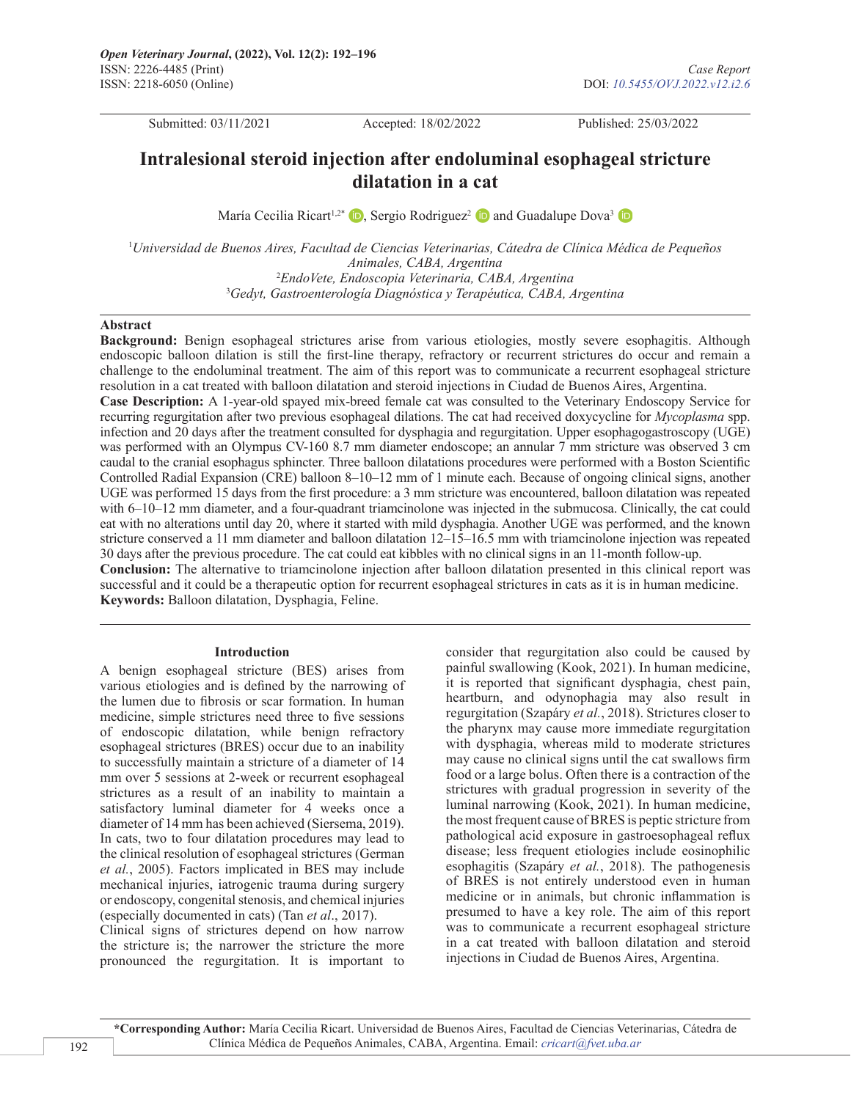Submitted: 03/11/2021 Accepted: 18/02/2022 Published: 25/03/2022

# **Intralesional steroid injection after endoluminal esophageal stricture dilatation in a cat**

María Cecilia Ricart<sup>1[,](https://orcid.org/0000-0002-2087-0834)2\*</sup>**D**, Sergio Rodriguez<sup>2</sup> **D** and Guadalupe Dova<sup>3</sup> **D** 

 *Universidad de Buenos Aires, Facultad de Ciencias Veterinarias, Cátedra de Clínica Médica de Pequeños Animales, CABA, Argentina EndoVete, Endoscopia Veterinaria, CABA, Argentina Gedyt, Gastroenterología Diagnóstica y Terapéutica, CABA, Argentina*

#### **Abstract**

**Background:** Benign esophageal strictures arise from various etiologies, mostly severe esophagitis. Although endoscopic balloon dilation is still the first-line therapy, refractory or recurrent strictures do occur and remain a challenge to the endoluminal treatment. The aim of this report was to communicate a recurrent esophageal stricture resolution in a cat treated with balloon dilatation and steroid injections in Ciudad de Buenos Aires, Argentina. **Case Description:** A 1-year-old spayed mix-breed female cat was consulted to the Veterinary Endoscopy Service for recurring regurgitation after two previous esophageal dilations. The cat had received doxycycline for *Mycoplasma* spp. infection and 20 days after the treatment consulted for dysphagia and regurgitation. Upper esophagogastroscopy (UGE) was performed with an Olympus CV-160 8.7 mm diameter endoscope; an annular 7 mm stricture was observed 3 cm caudal to the cranial esophagus sphincter. Three balloon dilatations procedures were performed with a Boston Scientific Controlled Radial Expansion (CRE) balloon 8–10–12 mm of 1 minute each. Because of ongoing clinical signs, another UGE was performed 15 days from the first procedure: a 3 mm stricture was encountered, balloon dilatation was repeated with 6–10–12 mm diameter, and a four-quadrant triamcinolone was injected in the submucosa. Clinically, the cat could eat with no alterations until day 20, where it started with mild dysphagia. Another UGE was performed, and the known

stricture conserved a 11 mm diameter and balloon dilatation 12–15–16.5 mm with triamcinolone injection was repeated 30 days after the previous procedure. The cat could eat kibbles with no clinical signs in an 11-month follow-up. **Conclusion:** The alternative to triamcinolone injection after balloon dilatation presented in this clinical report was successful and it could be a therapeutic option for recurrent esophageal strictures in cats as it is in human medicine. **Keywords:** Balloon dilatation, Dysphagia, Feline.

#### **Introduction**

A benign esophageal stricture (BES) arises from various etiologies and is defined by the narrowing of the lumen due to fibrosis or scar formation. In human medicine, simple strictures need three to five sessions of endoscopic dilatation, while benign refractory esophageal strictures (BRES) occur due to an inability to successfully maintain a stricture of a diameter of 14 mm over 5 sessions at 2-week or recurrent esophageal strictures as a result of an inability to maintain a satisfactory luminal diameter for 4 weeks once a diameter of 14 mm has been achieved (Siersema, 2019). In cats, two to four dilatation procedures may lead to the clinical resolution of esophageal strictures (German *et al.*, 2005). Factors implicated in BES may include mechanical injuries, iatrogenic trauma during surgery or endoscopy, congenital stenosis, and chemical injuries (especially documented in cats) (Tan *et al*., 2017).

Clinical signs of strictures depend on how narrow the stricture is; the narrower the stricture the more pronounced the regurgitation. It is important to

consider that regurgitation also could be caused by painful swallowing (Kook, 2021). In human medicine, it is reported that significant dysphagia, chest pain, heartburn, and odynophagia may also result in regurgitation (Szapáry *et al.*, 2018). Strictures closer to the pharynx may cause more immediate regurgitation with dysphagia, whereas mild to moderate strictures may cause no clinical signs until the cat swallows firm food or a large bolus. Often there is a contraction of the strictures with gradual progression in severity of the luminal narrowing (Kook, 2021). In human medicine, the most frequent cause of BRES is peptic stricture from pathological acid exposure in gastroesophageal reflux disease; less frequent etiologies include eosinophilic esophagitis (Szapáry *et al.*, 2018). The pathogenesis of BRES is not entirely understood even in human medicine or in animals, but chronic inflammation is presumed to have a key role. The aim of this report was to communicate a recurrent esophageal stricture in a cat treated with balloon dilatation and steroid injections in Ciudad de Buenos Aires, Argentina.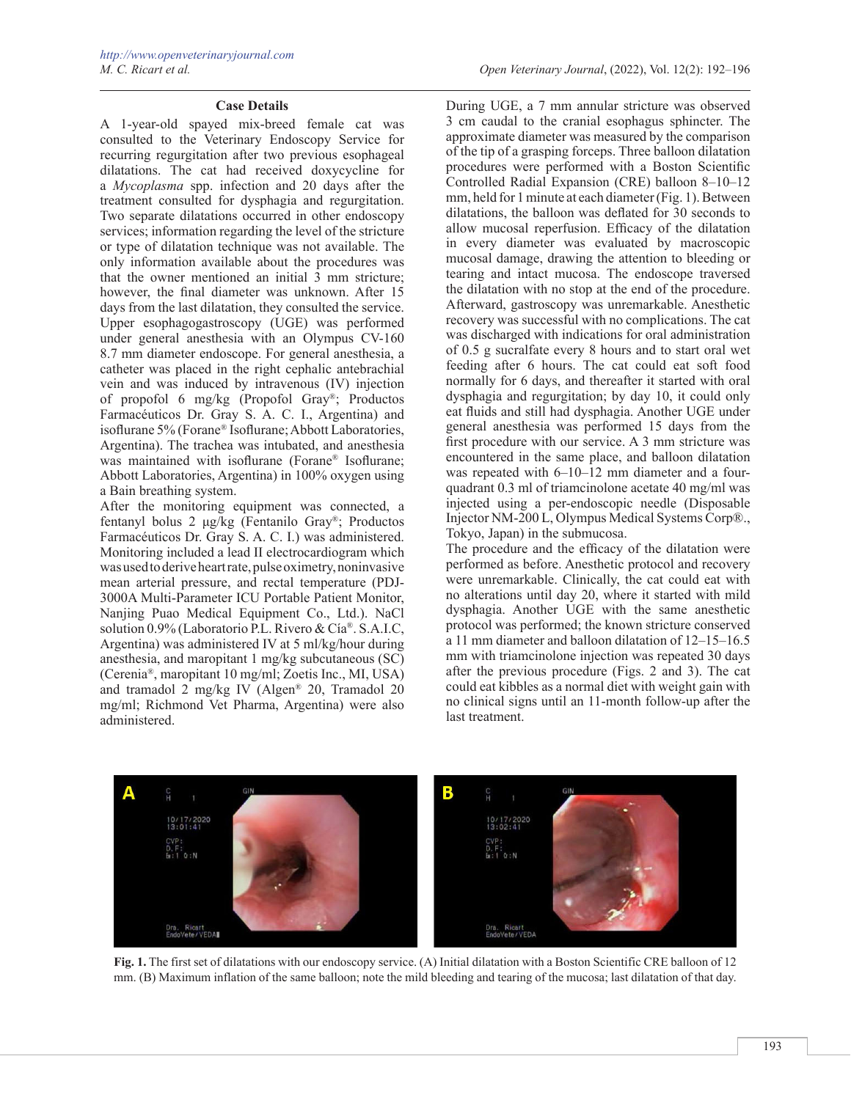#### **Case Details**

A 1-year-old spayed mix-breed female cat was consulted to the Veterinary Endoscopy Service for recurring regurgitation after two previous esophageal dilatations. The cat had received doxycycline for a *Mycoplasma* spp. infection and 20 days after the treatment consulted for dysphagia and regurgitation. Two separate dilatations occurred in other endoscopy services; information regarding the level of the stricture or type of dilatation technique was not available. The only information available about the procedures was that the owner mentioned an initial 3 mm stricture; however, the final diameter was unknown. After 15 days from the last dilatation, they consulted the service. Upper esophagogastroscopy (UGE) was performed under general anesthesia with an Olympus CV-160 8.7 mm diameter endoscope. For general anesthesia, a catheter was placed in the right cephalic antebrachial vein and was induced by intravenous (IV) injection of propofol 6 mg/kg (Propofol Gray®; Productos Farmacéuticos Dr. Gray S. A. C. I., Argentina) and isoflurane 5% (Forane® Isoflurane; Abbott Laboratories, Argentina). The trachea was intubated, and anesthesia was maintained with isoflurane (Forane® Isoflurane; Abbott Laboratories, Argentina) in 100% oxygen using a Bain breathing system.

After the monitoring equipment was connected, a fentanyl bolus 2 μg/kg (Fentanilo Gray®; Productos Farmacéuticos Dr. Gray S. A. C. I.) was administered. Monitoring included a lead II electrocardiogram which was used to derive heart rate, pulse oximetry, noninvasive mean arterial pressure, and rectal temperature (PDJ-3000A Multi-Parameter ICU Portable Patient Monitor, Nanjing Puao Medical Equipment Co., Ltd.). NaCl solution 0.9% (Laboratorio P.L. Rivero & Cía®. S.A.I.C, Argentina) was administered IV at 5 ml/kg/hour during anesthesia, and maropitant 1 mg/kg subcutaneous (SC) (Cerenia®, maropitant 10 mg/ml; Zoetis Inc., MI, USA) and tramadol 2 mg/kg IV (Algen® 20, Tramadol 20 mg/ml; Richmond Vet Pharma, Argentina) were also administered.

During UGE, a 7 mm annular stricture was observed 3 cm caudal to the cranial esophagus sphincter. The approximate diameter was measured by the comparison of the tip of a grasping forceps. Three balloon dilatation procedures were performed with a Boston Scientific Controlled Radial Expansion (CRE) balloon 8–10–12 mm, held for 1 minute at each diameter (Fig. 1). Between dilatations, the balloon was deflated for 30 seconds to allow mucosal reperfusion. Efficacy of the dilatation in every diameter was evaluated by macroscopic mucosal damage, drawing the attention to bleeding or tearing and intact mucosa. The endoscope traversed the dilatation with no stop at the end of the procedure. Afterward, gastroscopy was unremarkable. Anesthetic recovery was successful with no complications. The cat was discharged with indications for oral administration of 0.5 g sucralfate every 8 hours and to start oral wet feeding after 6 hours. The cat could eat soft food normally for 6 days, and thereafter it started with oral dysphagia and regurgitation; by day 10, it could only eat fluids and still had dysphagia. Another UGE under general anesthesia was performed 15 days from the first procedure with our service. A 3 mm stricture was encountered in the same place, and balloon dilatation was repeated with  $6-10-12$  mm diameter and a fourquadrant 0.3 ml of triamcinolone acetate 40 mg/ml was injected using a per-endoscopic needle (Disposable Injector NM-200 L, Olympus Medical Systems Corp®., Tokyo, Japan) in the submucosa.

The procedure and the efficacy of the dilatation were performed as before. Anesthetic protocol and recovery were unremarkable. Clinically, the cat could eat with no alterations until day 20, where it started with mild dysphagia. Another UGE with the same anesthetic protocol was performed; the known stricture conserved a 11 mm diameter and balloon dilatation of 12–15–16.5 mm with triamcinolone injection was repeated 30 days after the previous procedure (Figs. 2 and 3). The cat could eat kibbles as a normal diet with weight gain with no clinical signs until an 11-month follow-up after the last treatment.



**Fig. 1.** The first set of dilatations with our endoscopy service. (A) Initial dilatation with a Boston Scientific CRE balloon of 12 mm. (B) Maximum inflation of the same balloon; note the mild bleeding and tearing of the mucosa; last dilatation of that day.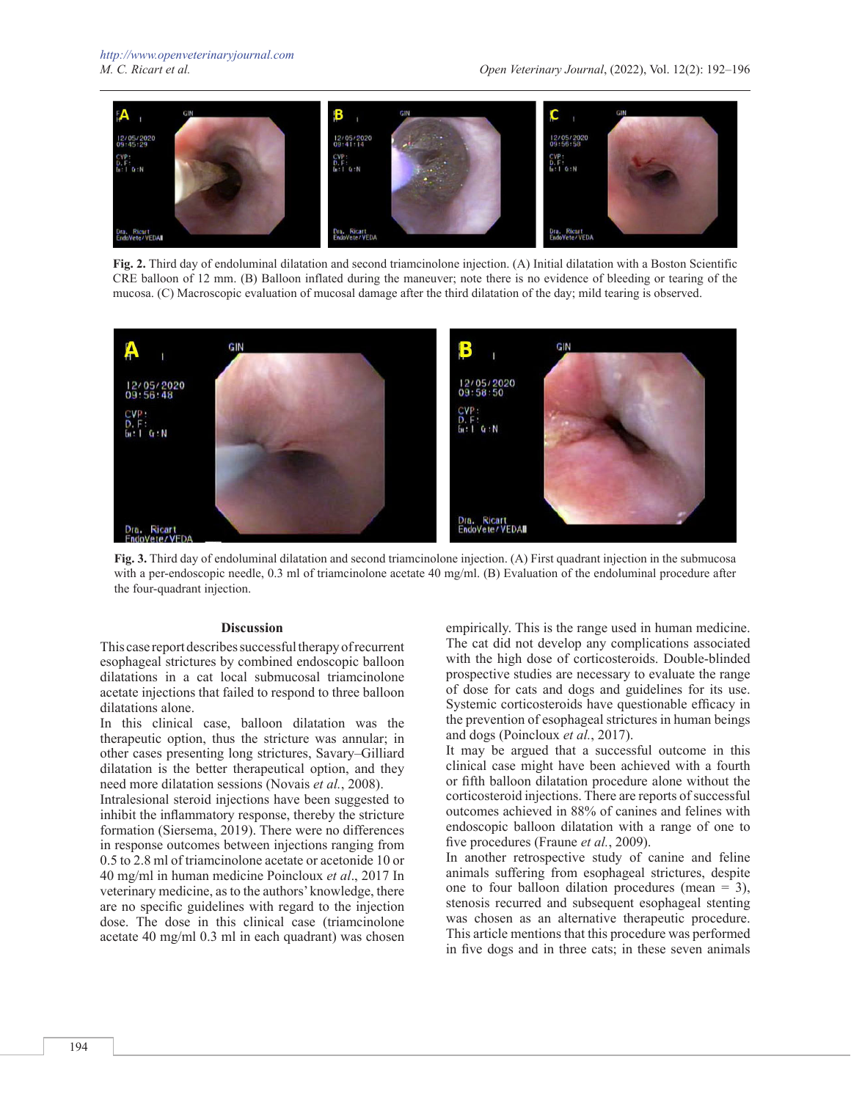

**Fig. 2.** Third day of endoluminal dilatation and second triamcinolone injection. (A) Initial dilatation with a Boston Scientific CRE balloon of 12 mm. (B) Balloon inflated during the maneuver; note there is no evidence of bleeding or tearing of the mucosa. (C) Macroscopic evaluation of mucosal damage after the third dilatation of the day; mild tearing is observed.



**Fig. 3.** Third day of endoluminal dilatation and second triamcinolone injection. (A) First quadrant injection in the submucosa with a per-endoscopic needle, 0.3 ml of triamcinolone acetate 40 mg/ml. (B) Evaluation of the endoluminal procedure after the four-quadrant injection.

#### **Discussion**

This case report describes successful therapy of recurrent esophageal strictures by combined endoscopic balloon dilatations in a cat local submucosal triamcinolone acetate injections that failed to respond to three balloon dilatations alone.

In this clinical case, balloon dilatation was the therapeutic option, thus the stricture was annular; in other cases presenting long strictures, Savary–Gilliard dilatation is the better therapeutical option, and they need more dilatation sessions (Novais *et al.*, 2008).

Intralesional steroid injections have been suggested to inhibit the inflammatory response, thereby the stricture formation (Siersema, 2019). There were no differences in response outcomes between injections ranging from 0.5 to 2.8 ml of triamcinolone acetate or acetonide 10 or 40 mg/ml in human medicine Poincloux *et al*., 2017 In veterinary medicine, as to the authors' knowledge, there are no specific guidelines with regard to the injection dose. The dose in this clinical case (triamcinolone acetate 40 mg/ml 0.3 ml in each quadrant) was chosen

empirically. This is the range used in human medicine. The cat did not develop any complications associated with the high dose of corticosteroids. Double-blinded prospective studies are necessary to evaluate the range of dose for cats and dogs and guidelines for its use. Systemic corticosteroids have questionable efficacy in the prevention of esophageal strictures in human beings and dogs (Poincloux *et al.*, 2017).

It may be argued that a successful outcome in this clinical case might have been achieved with a fourth or fifth balloon dilatation procedure alone without the corticosteroid injections. There are reports of successful outcomes achieved in 88% of canines and felines with endoscopic balloon dilatation with a range of one to five procedures (Fraune *et al.*, 2009).

In another retrospective study of canine and feline animals suffering from esophageal strictures, despite one to four balloon dilation procedures (mean  $= 3$ ), stenosis recurred and subsequent esophageal stenting was chosen as an alternative therapeutic procedure. This article mentions that this procedure was performed in five dogs and in three cats; in these seven animals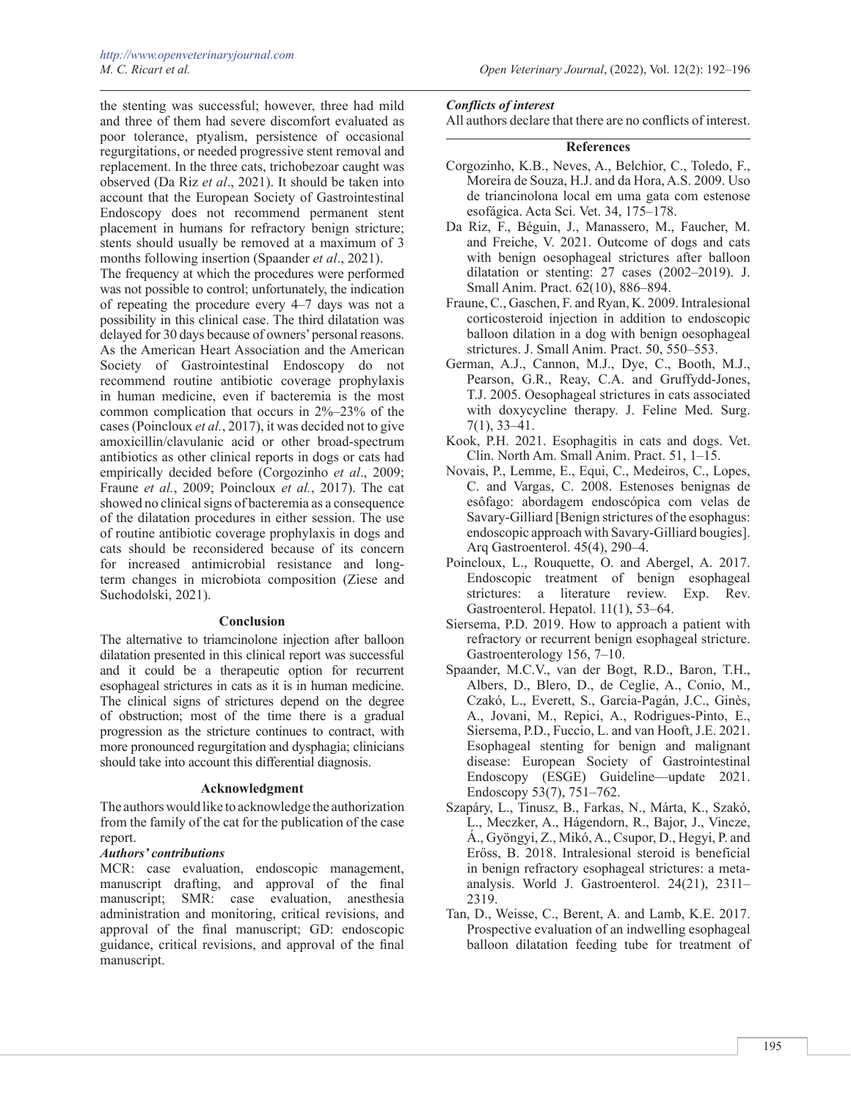the stenting was successful; however, three had mild and three of them had severe discomfort evaluated as poor tolerance, ptyalism, persistence of occasional regurgitations, or needed progressive stent removal and replacement. In the three cats, trichobezoar caught was observed (Da Riz *et al*., 2021). It should be taken into account that the European Society of Gastrointestinal Endoscopy does not recommend permanent stent placement in humans for refractory benign stricture; stents should usually be removed at a maximum of 3 months following insertion (Spaander *et al*., 2021).

The frequency at which the procedures were performed was not possible to control; unfortunately, the indication of repeating the procedure every 4–7 days was not a possibility in this clinical case. The third dilatation was delayed for 30 days because of owners' personal reasons. As the American Heart Association and the American Society of Gastrointestinal Endoscopy do not recommend routine antibiotic coverage prophylaxis in human medicine, even if bacteremia is the most common complication that occurs in 2%–23% of the cases (Poincloux *et al.*, 2017), it was decided not to give amoxicillin/clavulanic acid or other broad-spectrum antibiotics as other clinical reports in dogs or cats had empirically decided before (Corgozinho *et al*., 2009; Fraune *et al.*, 2009; Poincloux *et al.*, 2017). The cat showed no clinical signs of bacteremia as a consequence of the dilatation procedures in either session. The use of routine antibiotic coverage prophylaxis in dogs and cats should be reconsidered because of its concern for increased antimicrobial resistance and longterm changes in microbiota composition (Ziese and Suchodolski, 2021).

### **Conclusion**

The alternative to triamcinolone injection after balloon dilatation presented in this clinical report was successful and it could be a therapeutic option for recurrent esophageal strictures in cats as it is in human medicine. The clinical signs of strictures depend on the degree of obstruction; most of the time there is a gradual progression as the stricture continues to contract, with more pronounced regurgitation and dysphagia; clinicians should take into account this differential diagnosis.

## **Acknowledgment**

The authors would like to acknowledge the authorization from the family of the cat for the publication of the case report.

## *Authors' contributions*

MCR: case evaluation, endoscopic management, manuscript drafting, and approval of the final manuscript; SMR: case evaluation, anesthesia administration and monitoring, critical revisions, and approval of the final manuscript; GD: endoscopic guidance, critical revisions, and approval of the final manuscript.

## *Conflicts of interest*

All authors declare that there are no conflicts of interest.

## **References**

- Corgozinho, K.B., Neves, A., Belchior, C., Toledo, F., Moreira de Souza, H.J. and da Hora, A.S. 2009. Uso de triancinolona local em uma gata com estenose esofágica. Acta Sci. Vet. 34, 175–178.
- Da Riz, F., Béguin, J., Manassero, M., Faucher, M. and Freiche, V. 2021. Outcome of dogs and cats with benign oesophageal strictures after balloon dilatation or stenting: 27 cases (2002–2019). J. Small Anim. Pract. 62(10), 886–894.
- Fraune, C., Gaschen, F. and Ryan, K. 2009. Intralesional corticosteroid injection in addition to endoscopic balloon dilation in a dog with benign oesophageal strictures. J. Small Anim. Pract. 50, 550–553.
- German, A.J., [Cannon](https://pubmed.ncbi.nlm.nih.gov/?term=Cannon+MJ&cauthor_id=15686972), M.J., [Dye,](https://pubmed.ncbi.nlm.nih.gov/?term=Dye+C&cauthor_id=15686972) C., [Booth](https://pubmed.ncbi.nlm.nih.gov/?term=Booth+MJ&cauthor_id=15686972), M.J., [Pearson](https://pubmed.ncbi.nlm.nih.gov/?term=Pearson+GR&cauthor_id=15686972), G.R., [Reay](https://pubmed.ncbi.nlm.nih.gov/?term=Reay+CA&cauthor_id=15686972), C.A. and [Gruffydd-Jones](https://pubmed.ncbi.nlm.nih.gov/?term=Gruffydd-Jones+TJ&cauthor_id=15686972), T.J. 2005. Oesophageal strictures in cats associated with doxycycline therapy. J. Feline Med. Surg. 7(1), 33–41.
- Kook, P.H. 2021. Esophagitis in cats and dogs. Vet. Clin. North Am. Small Anim. Pract. 51, 1–15.
- Novais, P., Lemme, E., Equi, C., Medeiros, C., Lopes, C. and Vargas, C. 2008. Estenoses benignas de esôfago: abordagem endoscópica com velas de Savary-Gilliard [Benign strictures of the esophagus: endoscopic approach with Savary-Gilliard bougies]. Arq Gastroenterol. 45(4), 290–4.
- Poincloux, L., Rouquette, O. and Abergel, A. 2017. Endoscopic treatment of benign esophageal strictures: a literature review. Exp. Rev. Gastroenterol. Hepatol. 11(1), 53–64.
- Siersema, P.D. 2019. How to approach a patient with refractory or recurrent benign esophageal stricture. Gastroenterology 156, 7–10.
- Spaander, M.C.V., van der Bogt, R.D., Baron, T.H., Albers, D., Blero, D., de Ceglie, A., Conio, M., Czakó, L., Everett, S., Garcia-Pagán, J.C., Ginès, A., Jovani, M., Repici, A., Rodrigues-Pinto, E., Siersema, P.D., Fuccio, L. and van Hooft, J.E. 2021. Esophageal stenting for benign and malignant disease: European Society of Gastrointestinal Endoscopy (ESGE) Guideline—update 2021. Endoscopy 53(7), 751–762.
- Szapáry, L., Tinusz, B., Farkas, N., Márta, K., Szakó, L., Meczker, A., Hágendorn, R., Bajor, J., Vincze, Á., Gyöngyi, Z., Mikó, A., Csupor, D., Hegyi, P. and Erőss, B. 2018. Intralesional steroid is beneficial in benign refractory esophageal strictures: a metaanalysis. World J. Gastroenterol. 24(21), 2311– 2319.
- Tan, D., Weisse, C., Berent, A. and Lamb, K.E. 2017. Prospective evaluation of an indwelling esophageal balloon dilatation feeding tube for treatment of